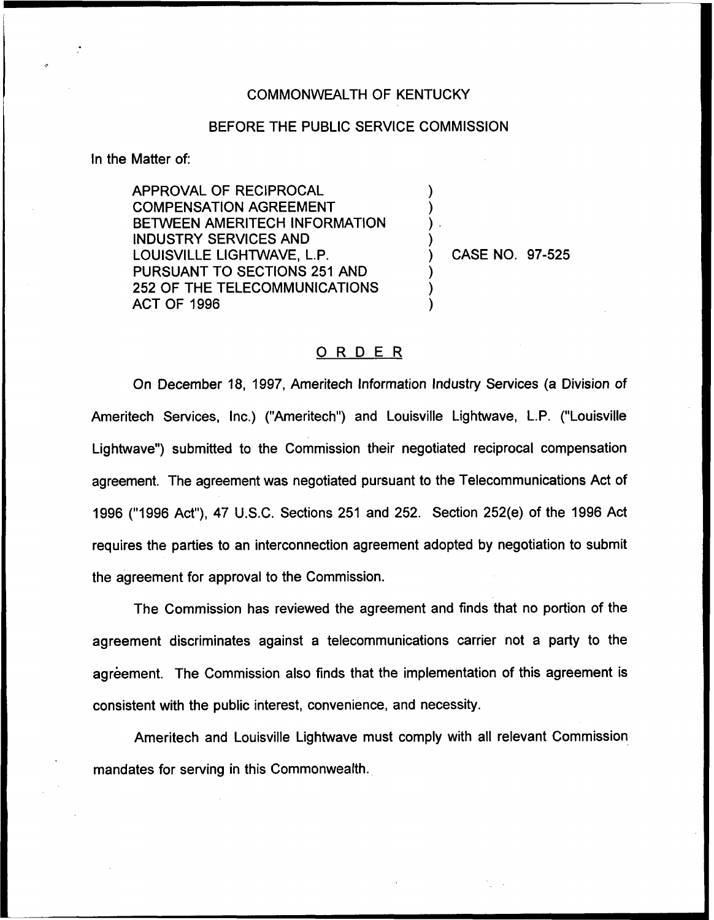## COMMONWEALTH OF KENTUCKY

## BEFORE THE PUBLIC SERVICE COMMISSION

) ) ) )

 $\overline{\phantom{a}}$ ) )

In the Matter of:

APPROVAL OF RECIPROCAL COMPENSATION AGREEMENT BETWEEN AMERITECH INFORMATION INDUSTRY SERVICES AND LOUISVILLE LIGHTWAVE, L.P. PURSUANT TO SECTIONS 251 AND 252 OF THE TELECOMMUNICATIONS ACT OF 1996

) CASE NO. 97-525

## ORDER

On December 18, 1997, Ameritech Information Industry Services (a Division of Ameritech Services, Inc.) ("Ameritech") and Louisville Lightwave, L.P. ("Louisville Lightwave") submitted to the Commission their negotiated reciprocal compensation agreement. The agreement was negotiated pursuant to the Telecommunications Act of 1996 ("1996Act"), 47 U.S.C. Sections 251 and 252. Section 252(e) of the 1996 Act requires the parties to an interconnection agreement adopted by negotiation to submit the agreement for approval to the Commission.

The Commission has reviewed the agreement and finds that no portion of the agreement discriminates against a telecommunications carrier not a party to the agreement. The Commission also finds that the implementation of this agreement is consistent with the public interest, convenience, and necessity.

Ameritech and Louisville Lightwave must comply with all relevant Commission mandates for serving in this Commonwealth.